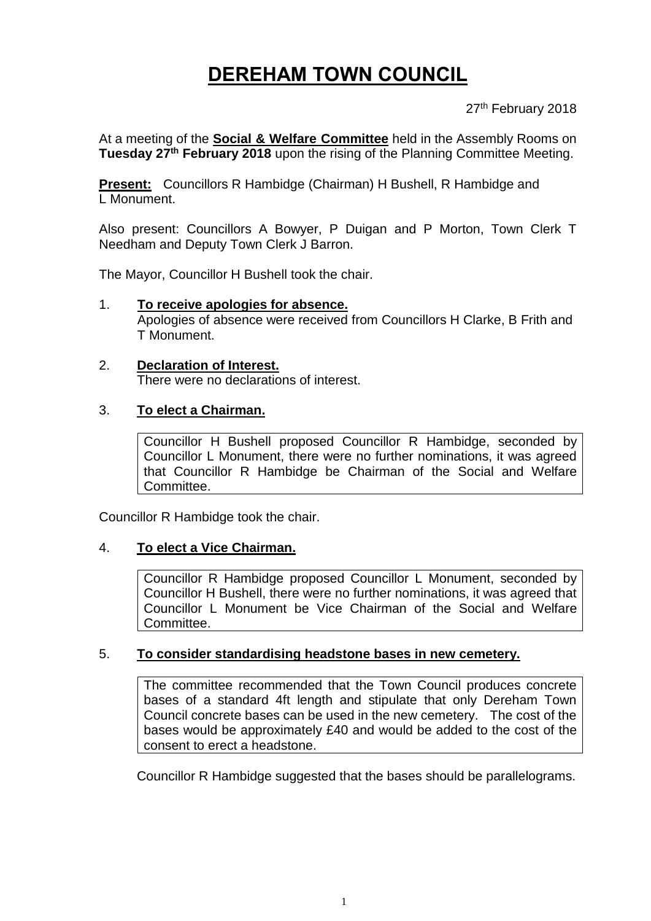# **DEREHAM TOWN COUNCIL**

27<sup>th</sup> February 2018

At a meeting of the **Social & Welfare Committee** held in the Assembly Rooms on **Tuesday 27th February 2018** upon the rising of the Planning Committee Meeting.

**Present:** Councillors R Hambidge (Chairman) H Bushell, R Hambidge and L Monument.

Also present: Councillors A Bowyer, P Duigan and P Morton, Town Clerk T Needham and Deputy Town Clerk J Barron.

The Mayor, Councillor H Bushell took the chair.

- 1. **To receive apologies for absence.** Apologies of absence were received from Councillors H Clarke, B Frith and T Monument.
- 2. **Declaration of Interest.** There were no declarations of interest.

#### 3. **To elect a Chairman.**

Councillor H Bushell proposed Councillor R Hambidge, seconded by Councillor L Monument, there were no further nominations, it was agreed that Councillor R Hambidge be Chairman of the Social and Welfare Committee.

Councillor R Hambidge took the chair.

#### 4. **To elect a Vice Chairman.**

Councillor R Hambidge proposed Councillor L Monument, seconded by Councillor H Bushell, there were no further nominations, it was agreed that Councillor L Monument be Vice Chairman of the Social and Welfare Committee.

#### 5. **To consider standardising headstone bases in new cemetery.**

The committee recommended that the Town Council produces concrete bases of a standard 4ft length and stipulate that only Dereham Town Council concrete bases can be used in the new cemetery. The cost of the bases would be approximately £40 and would be added to the cost of the consent to erect a headstone.

Councillor R Hambidge suggested that the bases should be parallelograms.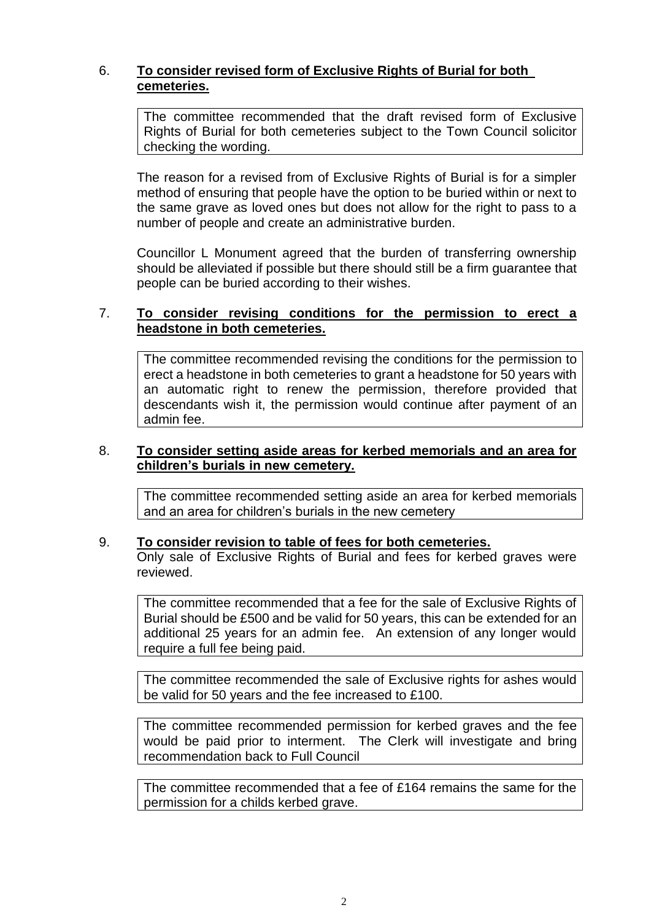# 6. **To consider revised form of Exclusive Rights of Burial for both cemeteries.**

The committee recommended that the draft revised form of Exclusive Rights of Burial for both cemeteries subject to the Town Council solicitor checking the wording.

The reason for a revised from of Exclusive Rights of Burial is for a simpler method of ensuring that people have the option to be buried within or next to the same grave as loved ones but does not allow for the right to pass to a number of people and create an administrative burden.

Councillor L Monument agreed that the burden of transferring ownership should be alleviated if possible but there should still be a firm guarantee that people can be buried according to their wishes.

## 7. **To consider revising conditions for the permission to erect a headstone in both cemeteries.**

The committee recommended revising the conditions for the permission to erect a headstone in both cemeteries to grant a headstone for 50 years with an automatic right to renew the permission, therefore provided that descendants wish it, the permission would continue after payment of an admin fee.

#### 8. **To consider setting aside areas for kerbed memorials and an area for children's burials in new cemetery.**

The committee recommended setting aside an area for kerbed memorials and an area for children's burials in the new cemetery

#### 9. **To consider revision to table of fees for both cemeteries.**

Only sale of Exclusive Rights of Burial and fees for kerbed graves were reviewed.

The committee recommended that a fee for the sale of Exclusive Rights of Burial should be £500 and be valid for 50 years, this can be extended for an additional 25 years for an admin fee. An extension of any longer would require a full fee being paid.

The committee recommended the sale of Exclusive rights for ashes would be valid for 50 years and the fee increased to £100.

The committee recommended permission for kerbed graves and the fee would be paid prior to interment. The Clerk will investigate and bring recommendation back to Full Council

The committee recommended that a fee of £164 remains the same for the permission for a childs kerbed grave.